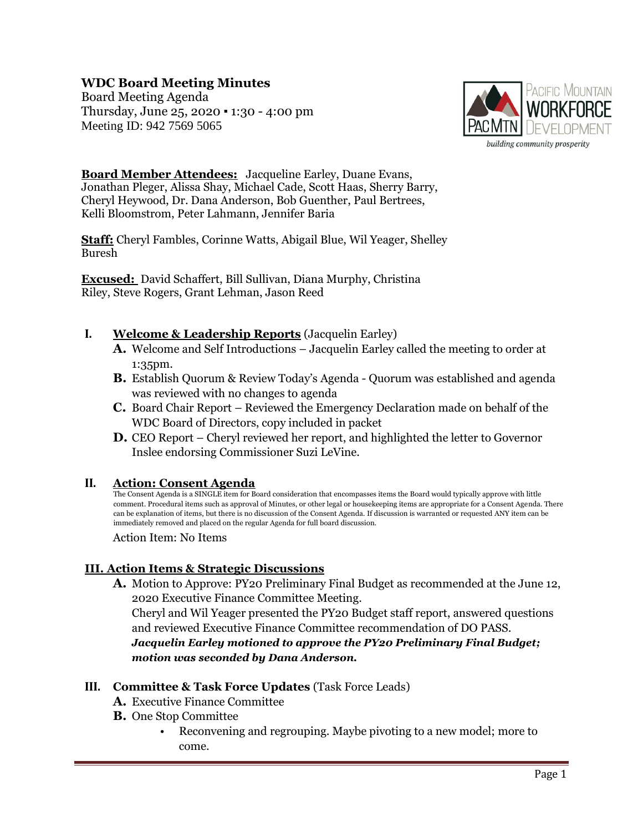# **WDC Board Meeting Minutes**

Board Meeting Agenda Thursday, June 25, 2020 ▪ 1:30 - 4:00 pm Meeting ID: 942 7569 5065



**Board Member Attendees:** Jacqueline Earley, Duane Evans, Jonathan Pleger, Alissa Shay, Michael Cade, Scott Haas, Sherry Barry, Cheryl Heywood, Dr. Dana Anderson, Bob Guenther, Paul Bertrees, Kelli Bloomstrom, Peter Lahmann, Jennifer Baria

**Staff:** Cheryl Fambles, Corinne Watts, Abigail Blue, Wil Yeager, Shelley Buresh

**Excused:** David Schaffert, Bill Sullivan, Diana Murphy, Christina Riley, Steve Rogers, Grant Lehman, Jason Reed

### **I. Welcome & Leadership Reports** (Jacquelin Earley)

- **A.** Welcome and Self Introductions Jacquelin Earley called the meeting to order at 1:35pm.
- **B.** Establish Quorum & Review Today's Agenda Quorum was established and agenda was reviewed with no changes to agenda
- **C.** Board Chair Report Reviewed the Emergency Declaration made on behalf of the WDC Board of Directors, copy included in packet
- **D.** CEO Report Cheryl reviewed her report, and highlighted the letter to Governor Inslee endorsing Commissioner Suzi LeVine.

#### **II. Action: Consent Agenda**

The Consent Agenda is a SINGLE item for Board consideration that encompasses items the Board would typically approve with little comment. Procedural items such as approval of Minutes, or other legal or housekeeping items are appropriate for a Consent Agenda. There can be explanation of items, but there is no discussion of the Consent Agenda. If discussion is warranted or requested ANY item can be immediately removed and placed on the regular Agenda for full board discussion.

Action Item: No Items

## **III. Action Items & Strategic Discussions**

**A.** Motion to Approve: PY20 Preliminary Final Budget as recommended at the June 12, 2020 Executive Finance Committee Meeting.

Cheryl and Wil Yeager presented the PY20 Budget staff report, answered questions and reviewed Executive Finance Committee recommendation of DO PASS.

*Jacquelin Earley motioned to approve the PY20 Preliminary Final Budget; motion was seconded by Dana Anderson.*

#### **III. Committee & Task Force Updates** (Task Force Leads)

- **A.** Executive Finance Committee
- **B.** One Stop Committee
	- Reconvening and regrouping. Maybe pivoting to a new model; more to come.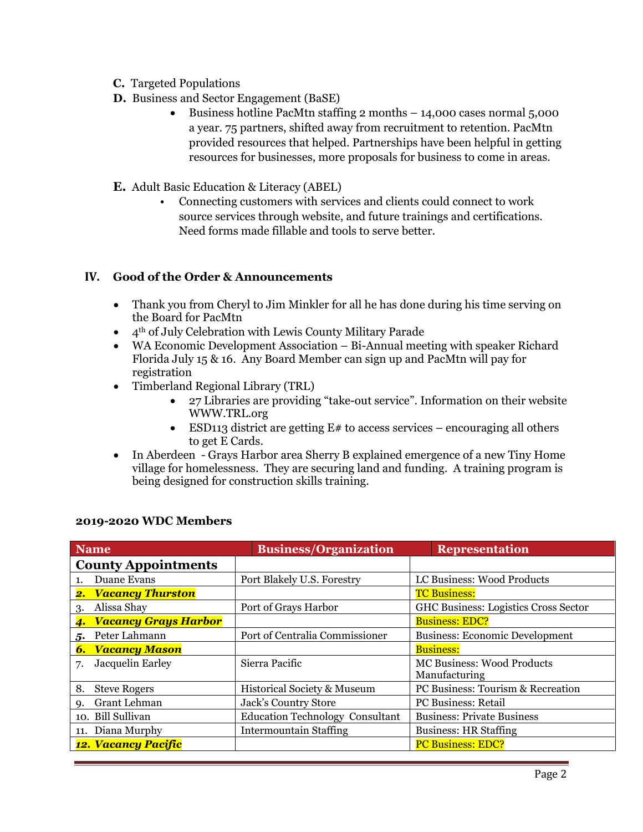- **C.** Targeted Populations
- **D.** Business and Sector Engagement (BaSE)
	- Business hotline PacMtn staffing 2 months 14,000 cases normal 5,000 a year. 75 partners, shifted away from recruitment to retention. PacMtn provided resources that helped. Partnerships have been helpful in getting resources for businesses, more proposals for business to come in areas.
- **E.** Adult Basic Education & Literacy (ABEL)
	- Connecting customers with services and clients could connect to work source services through website, and future trainings and certifications. Need forms made fillable and tools to serve better.

### **IV. Good of the Order & Announcements**

- Thank you from Cheryl to Jim Minkler for all he has done during his time serving on the Board for PacMtn
- $\bullet$  4<sup>th</sup> of July Celebration with Lewis County Military Parade
- WA Economic Development Association Bi-Annual meeting with speaker Richard Florida July 15 & 16. Any Board Member can sign up and PacMtn will pay for registration
- Timberland Regional Library (TRL)
	- 27 Libraries are providing "take-out service". Information on their website WWW.TRL.org
	- ESD113 district are getting  $E#$  to access services encouraging all others to get E Cards.
- In Aberdeen Grays Harbor area Sherry B explained emergence of a new Tiny Home village for homelessness. They are securing land and funding. A training program is being designed for construction skills training.

| <b>Name</b>                 | <b>Business/Organization</b>           | <b>Representation</b>                              |
|-----------------------------|----------------------------------------|----------------------------------------------------|
| <b>County Appointments</b>  |                                        |                                                    |
| Duane Evans<br>1.           | Port Blakely U.S. Forestry             | LC Business: Wood Products                         |
| 2. Vacancy Thurston         |                                        | <b>TC Business:</b>                                |
| Alissa Shay<br>3.           | Port of Grays Harbor                   | <b>GHC Business: Logistics Cross Sector</b>        |
| 4. Vacancy Grays Harbor     |                                        | <b>Business: EDC?</b>                              |
| 5. Peter Lahmann            | Port of Centralia Commissioner         | <b>Business: Economic Development</b>              |
| <b>6. Vacancy Mason</b>     |                                        | <b>Business:</b>                                   |
| Jacquelin Earley<br>7.      | Sierra Pacific                         | <b>MC Business: Wood Products</b><br>Manufacturing |
| 8.<br><b>Steve Rogers</b>   | Historical Society & Museum            | PC Business: Tourism & Recreation                  |
| Grant Lehman<br>$Q_{\star}$ | Jack's Country Store                   | <b>PC Business: Retail</b>                         |
| 10. Bill Sullivan           | <b>Education Technology Consultant</b> | <b>Business: Private Business</b>                  |
| 11. Diana Murphy            | <b>Intermountain Staffing</b>          | <b>Business: HR Staffing</b>                       |
| 12. Vacancy Pacific         |                                        | <b>PC Business: EDC?</b>                           |

## **2019-2020 WDC Members**